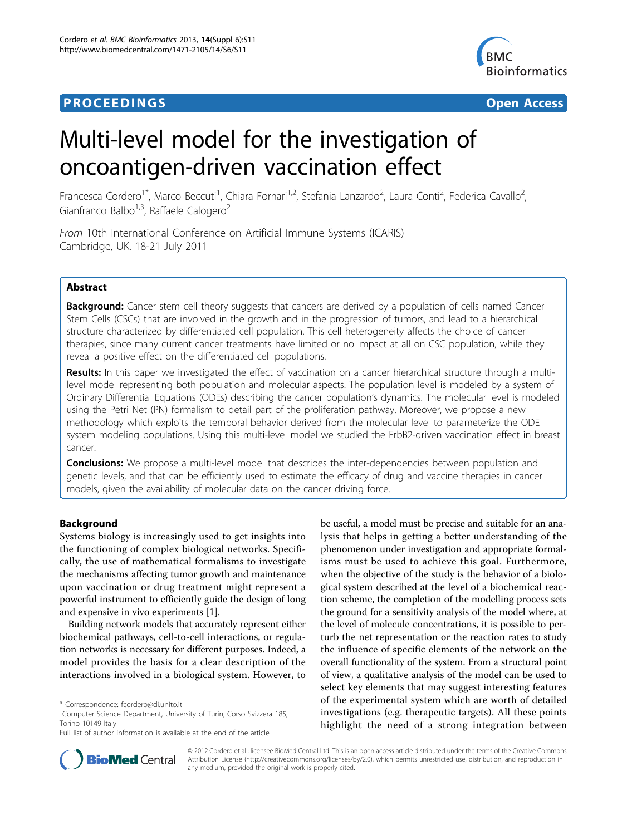## **PROCEEDINGS CONSUMING S** Open Access **CONSUMING S**



# Multi-level model for the investigation of oncoantigen-driven vaccination effect

Francesca Cordero<sup>1\*</sup>, Marco Beccuti<sup>1</sup>, Chiara Fornari<sup>1,2</sup>, Stefania Lanzardo<sup>2</sup>, Laura Conti<sup>2</sup>, Federica Cavallo<sup>2</sup> , Gianfranco Balbo $^{1,3}$ , Raffaele Calogero<sup>2</sup>

From 10th International Conference on Artificial Immune Systems (ICARIS) Cambridge, UK. 18-21 July 2011

## Abstract

Background: Cancer stem cell theory suggests that cancers are derived by a population of cells named Cancer Stem Cells (CSCs) that are involved in the growth and in the progression of tumors, and lead to a hierarchical structure characterized by differentiated cell population. This cell heterogeneity affects the choice of cancer therapies, since many current cancer treatments have limited or no impact at all on CSC population, while they reveal a positive effect on the differentiated cell populations.

Results: In this paper we investigated the effect of vaccination on a cancer hierarchical structure through a multilevel model representing both population and molecular aspects. The population level is modeled by a system of Ordinary Differential Equations (ODEs) describing the cancer population's dynamics. The molecular level is modeled using the Petri Net (PN) formalism to detail part of the proliferation pathway. Moreover, we propose a new methodology which exploits the temporal behavior derived from the molecular level to parameterize the ODE system modeling populations. Using this multi-level model we studied the ErbB2-driven vaccination effect in breast cancer.

**Conclusions:** We propose a multi-level model that describes the inter-dependencies between population and genetic levels, and that can be efficiently used to estimate the efficacy of drug and vaccine therapies in cancer models, given the availability of molecular data on the cancer driving force.

## Background

Systems biology is increasingly used to get insights into the functioning of complex biological networks. Specifically, the use of mathematical formalisms to investigate the mechanisms affecting tumor growth and maintenance upon vaccination or drug treatment might represent a powerful instrument to efficiently guide the design of long and expensive in vivo experiments [\[1\]](#page-13-0).

Building network models that accurately represent either biochemical pathways, cell-to-cell interactions, or regulation networks is necessary for different purposes. Indeed, a model provides the basis for a clear description of the interactions involved in a biological system. However, to be useful, a model must be precise and suitable for an analysis that helps in getting a better understanding of the phenomenon under investigation and appropriate formalisms must be used to achieve this goal. Furthermore, when the objective of the study is the behavior of a biological system described at the level of a biochemical reaction scheme, the completion of the modelling process sets the ground for a sensitivity analysis of the model where, at the level of molecule concentrations, it is possible to perturb the net representation or the reaction rates to study the influence of specific elements of the network on the overall functionality of the system. From a structural point of view, a qualitative analysis of the model can be used to select key elements that may suggest interesting features of the experimental system which are worth of detailed investigations (e.g. therapeutic targets). All these points highlight the need of a strong integration between



© 2012 Cordero et al.; licensee BioMed Central Ltd. This is an open access article distributed under the terms of the Creative Commons Attribution License [\(http://creativecommons.org/licenses/by/2.0](http://creativecommons.org/licenses/by/2.0)), which permits unrestricted use, distribution, and reproduction in any medium, provided the original work is properly cited.

<sup>\*</sup> Correspondence: [fcordero@di.unito.it](mailto:fcordero@di.unito.it)

<sup>&</sup>lt;sup>1</sup>Computer Science Department, University of Turin, Corso Svizzera 185, Torino 10149 Italy

Full list of author information is available at the end of the article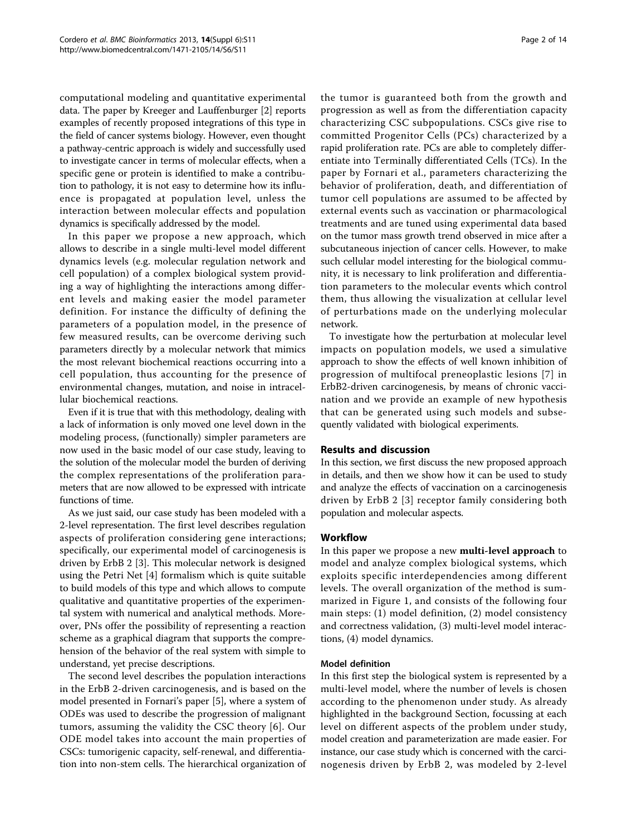computational modeling and quantitative experimental data. The paper by Kreeger and Lauffenburger [[2\]](#page-13-0) reports examples of recently proposed integrations of this type in the field of cancer systems biology. However, even thought a pathway-centric approach is widely and successfully used to investigate cancer in terms of molecular effects, when a specific gene or protein is identified to make a contribution to pathology, it is not easy to determine how its influence is propagated at population level, unless the interaction between molecular effects and population dynamics is specifically addressed by the model.

In this paper we propose a new approach, which allows to describe in a single multi-level model different dynamics levels (e.g. molecular regulation network and cell population) of a complex biological system providing a way of highlighting the interactions among different levels and making easier the model parameter definition. For instance the difficulty of defining the parameters of a population model, in the presence of few measured results, can be overcome deriving such parameters directly by a molecular network that mimics the most relevant biochemical reactions occurring into a cell population, thus accounting for the presence of environmental changes, mutation, and noise in intracellular biochemical reactions.

Even if it is true that with this methodology, dealing with a lack of information is only moved one level down in the modeling process, (functionally) simpler parameters are now used in the basic model of our case study, leaving to the solution of the molecular model the burden of deriving the complex representations of the proliferation parameters that are now allowed to be expressed with intricate functions of time.

As we just said, our case study has been modeled with a 2-level representation. The first level describes regulation aspects of proliferation considering gene interactions; specifically, our experimental model of carcinogenesis is driven by ErbB 2 [[3](#page-13-0)]. This molecular network is designed using the Petri Net [[4\]](#page-13-0) formalism which is quite suitable to build models of this type and which allows to compute qualitative and quantitative properties of the experimental system with numerical and analytical methods. Moreover, PNs offer the possibility of representing a reaction scheme as a graphical diagram that supports the comprehension of the behavior of the real system with simple to understand, yet precise descriptions.

The second level describes the population interactions in the ErbB 2-driven carcinogenesis, and is based on the model presented in Fornari's paper [[5\]](#page-13-0), where a system of ODEs was used to describe the progression of malignant tumors, assuming the validity the CSC theory [\[6\]](#page-13-0). Our ODE model takes into account the main properties of CSCs: tumorigenic capacity, self-renewal, and differentiation into non-stem cells. The hierarchical organization of the tumor is guaranteed both from the growth and progression as well as from the differentiation capacity characterizing CSC subpopulations. CSCs give rise to committed Progenitor Cells (PCs) characterized by a rapid proliferation rate. PCs are able to completely differentiate into Terminally differentiated Cells (TCs). In the paper by Fornari et al., parameters characterizing the behavior of proliferation, death, and differentiation of tumor cell populations are assumed to be affected by external events such as vaccination or pharmacological treatments and are tuned using experimental data based on the tumor mass growth trend observed in mice after a subcutaneous injection of cancer cells. However, to make such cellular model interesting for the biological community, it is necessary to link proliferation and differentiation parameters to the molecular events which control them, thus allowing the visualization at cellular level of perturbations made on the underlying molecular network.

To investigate how the perturbation at molecular level impacts on population models, we used a simulative approach to show the effects of well known inhibition of progression of multifocal preneoplastic lesions [[7](#page-13-0)] in ErbB2-driven carcinogenesis, by means of chronic vaccination and we provide an example of new hypothesis that can be generated using such models and subsequently validated with biological experiments.

## Results and discussion

In this section, we first discuss the new proposed approach in details, and then we show how it can be used to study and analyze the effects of vaccination on a carcinogenesis driven by ErbB 2 [[3\]](#page-13-0) receptor family considering both population and molecular aspects.

## Workflow

In this paper we propose a new multi-level approach to model and analyze complex biological systems, which exploits specific interdependencies among different levels. The overall organization of the method is summarized in Figure [1,](#page-2-0) and consists of the following four main steps: (1) model definition, (2) model consistency and correctness validation, (3) multi-level model interactions, (4) model dynamics.

## Model definition

In this first step the biological system is represented by a multi-level model, where the number of levels is chosen according to the phenomenon under study. As already highlighted in the background Section, focussing at each level on different aspects of the problem under study, model creation and parameterization are made easier. For instance, our case study which is concerned with the carcinogenesis driven by ErbB 2, was modeled by 2-level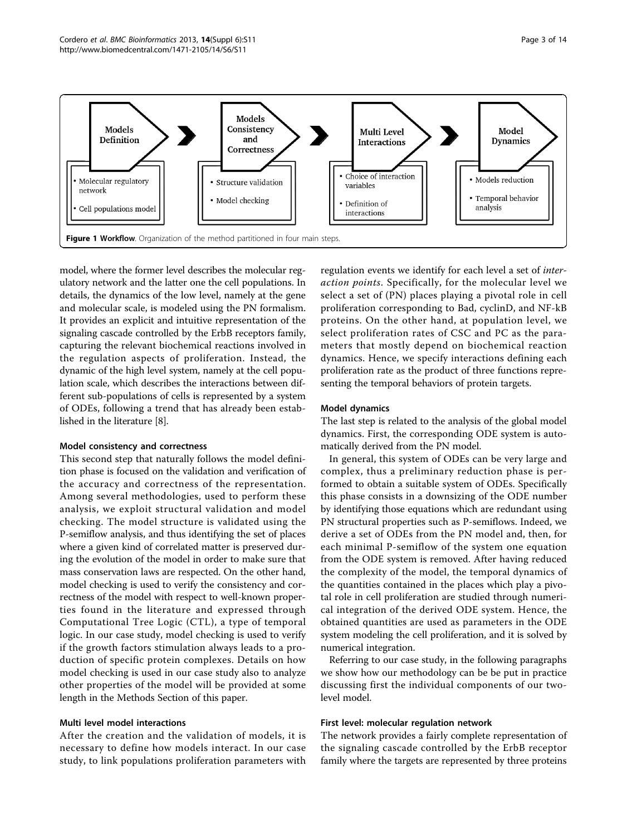<span id="page-2-0"></span>

model, where the former level describes the molecular regulatory network and the latter one the cell populations. In details, the dynamics of the low level, namely at the gene and molecular scale, is modeled using the PN formalism. It provides an explicit and intuitive representation of the signaling cascade controlled by the ErbB receptors family, capturing the relevant biochemical reactions involved in the regulation aspects of proliferation. Instead, the dynamic of the high level system, namely at the cell population scale, which describes the interactions between different sub-populations of cells is represented by a system of ODEs, following a trend that has already been established in the literature [\[8](#page-13-0)].

## Model consistency and correctness

This second step that naturally follows the model definition phase is focused on the validation and verification of the accuracy and correctness of the representation. Among several methodologies, used to perform these analysis, we exploit structural validation and model checking. The model structure is validated using the P-semiflow analysis, and thus identifying the set of places where a given kind of correlated matter is preserved during the evolution of the model in order to make sure that mass conservation laws are respected. On the other hand, model checking is used to verify the consistency and correctness of the model with respect to well-known properties found in the literature and expressed through Computational Tree Logic (CTL), a type of temporal logic. In our case study, model checking is used to verify if the growth factors stimulation always leads to a production of specific protein complexes. Details on how model checking is used in our case study also to analyze other properties of the model will be provided at some length in the Methods Section of this paper.

## Multi level model interactions

After the creation and the validation of models, it is necessary to define how models interact. In our case study, to link populations proliferation parameters with regulation events we identify for each level a set of interaction points. Specifically, for the molecular level we select a set of (PN) places playing a pivotal role in cell proliferation corresponding to Bad, cyclinD, and NF-kB proteins. On the other hand, at population level, we select proliferation rates of CSC and PC as the parameters that mostly depend on biochemical reaction dynamics. Hence, we specify interactions defining each proliferation rate as the product of three functions representing the temporal behaviors of protein targets.

#### Model dynamics

The last step is related to the analysis of the global model dynamics. First, the corresponding ODE system is automatically derived from the PN model.

In general, this system of ODEs can be very large and complex, thus a preliminary reduction phase is performed to obtain a suitable system of ODEs. Specifically this phase consists in a downsizing of the ODE number by identifying those equations which are redundant using PN structural properties such as P-semiflows. Indeed, we derive a set of ODEs from the PN model and, then, for each minimal P-semiflow of the system one equation from the ODE system is removed. After having reduced the complexity of the model, the temporal dynamics of the quantities contained in the places which play a pivotal role in cell proliferation are studied through numerical integration of the derived ODE system. Hence, the obtained quantities are used as parameters in the ODE system modeling the cell proliferation, and it is solved by numerical integration.

Referring to our case study, in the following paragraphs we show how our methodology can be be put in practice discussing first the individual components of our twolevel model.

#### First level: molecular regulation network

The network provides a fairly complete representation of the signaling cascade controlled by the ErbB receptor family where the targets are represented by three proteins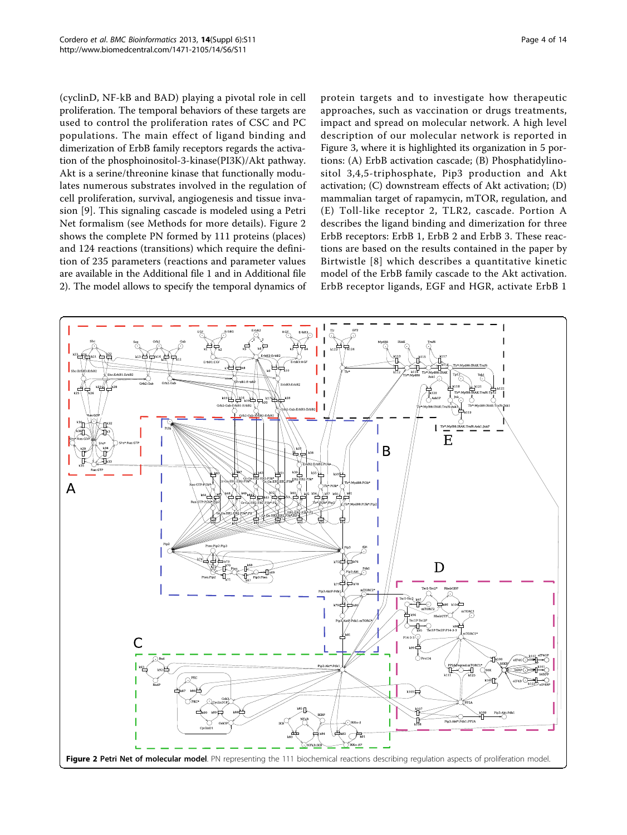(cyclinD, NF-kB and BAD) playing a pivotal role in cell proliferation. The temporal behaviors of these targets are used to control the proliferation rates of CSC and PC populations. The main effect of ligand binding and dimerization of ErbB family receptors regards the activation of the phosphoinositol-3-kinase(PI3K)/Akt pathway. Akt is a serine/threonine kinase that functionally modulates numerous substrates involved in the regulation of cell proliferation, survival, angiogenesis and tissue invasion [\[9](#page-13-0)]. This signaling cascade is modeled using a Petri Net formalism (see Methods for more details). Figure 2 shows the complete PN formed by 111 proteins (places) and 124 reactions (transitions) which require the definition of 235 parameters (reactions and parameter values are available in the Additional file [1](#page-12-0) and in Additional file [2\)](#page-12-0). The model allows to specify the temporal dynamics of

protein targets and to investigate how therapeutic approaches, such as vaccination or drugs treatments, impact and spread on molecular network. A high level description of our molecular network is reported in Figure [3](#page-4-0), where it is highlighted its organization in 5 portions: (A) ErbB activation cascade; (B) Phosphatidylinositol 3,4,5-triphosphate, Pip3 production and Akt activation; (C) downstream effects of Akt activation; (D) mammalian target of rapamycin, mTOR, regulation, and (E) Toll-like receptor 2, TLR2, cascade. Portion A describes the ligand binding and dimerization for three ErbB receptors: ErbB 1, ErbB 2 and ErbB 3. These reactions are based on the results contained in the paper by Birtwistle [[8](#page-13-0)] which describes a quantitative kinetic model of the ErbB family cascade to the Akt activation. ErbB receptor ligands, EGF and HGR, activate ErbB 1

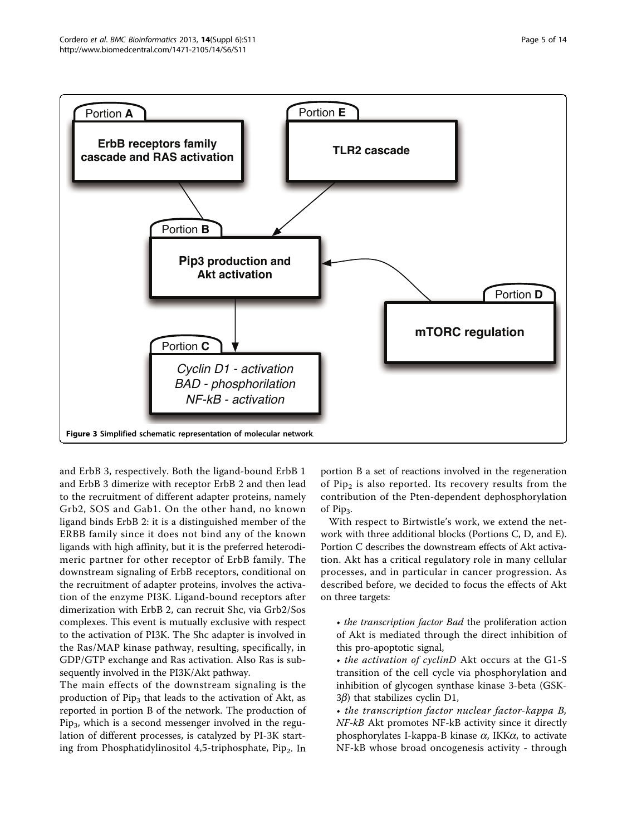<span id="page-4-0"></span>

and ErbB 3, respectively. Both the ligand-bound ErbB 1 and ErbB 3 dimerize with receptor ErbB 2 and then lead to the recruitment of different adapter proteins, namely Grb2, SOS and Gab1. On the other hand, no known ligand binds ErbB 2: it is a distinguished member of the ERBB family since it does not bind any of the known ligands with high affinity, but it is the preferred heterodimeric partner for other receptor of ErbB family. The downstream signaling of ErbB receptors, conditional on the recruitment of adapter proteins, involves the activation of the enzyme PI3K. Ligand-bound receptors after dimerization with ErbB 2, can recruit Shc, via Grb2/Sos complexes. This event is mutually exclusive with respect to the activation of PI3K. The Shc adapter is involved in the Ras/MAP kinase pathway, resulting, specifically, in GDP/GTP exchange and Ras activation. Also Ras is subsequently involved in the PI3K/Akt pathway.

The main effects of the downstream signaling is the production of  $Pip_3$  that leads to the activation of Akt, as reported in portion B of the network. The production of Pip<sub>3</sub>, which is a second messenger involved in the regulation of different processes, is catalyzed by PI-3K starting from Phosphatidylinositol 4,5-triphosphate, Pip<sub>2</sub>. In

portion B a set of reactions involved in the regeneration of Pip<sub>2</sub> is also reported. Its recovery results from the contribution of the Pten-dependent dephosphorylation of Pip<sub>3</sub>.

With respect to Birtwistle's work, we extend the network with three additional blocks (Portions C, D, and E). Portion C describes the downstream effects of Akt activation. Akt has a critical regulatory role in many cellular processes, and in particular in cancer progression. As described before, we decided to focus the effects of Akt on three targets:

• the transcription factor Bad the proliferation action of Akt is mediated through the direct inhibition of this pro-apoptotic signal,

• the activation of cyclinD Akt occurs at the G1-S transition of the cell cycle via phosphorylation and inhibition of glycogen synthase kinase 3-beta (GSK- $3\beta$ ) that stabilizes cyclin D1,

• the transcription factor nuclear factor-kappa B, NF-kB Akt promotes NF-kB activity since it directly phosphorylates I-kappa-B kinase  $\alpha$ , IKK $\alpha$ , to activate NF-kB whose broad oncogenesis activity - through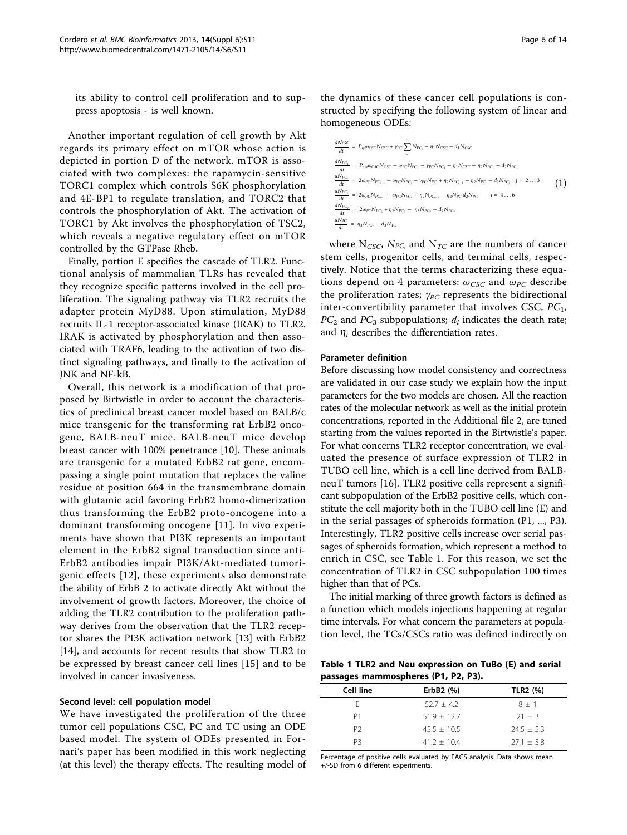<span id="page-5-0"></span>its ability to control cell proliferation and to suppress apoptosis - is well known.

Another important regulation of cell growth by Akt regards its primary effect on mTOR whose action is depicted in portion D of the network. mTOR is associated with two complexes: the rapamycin-sensitive TORC1 complex which controls S6K phosphorylation and 4E-BP1 to regulate translation, and TORC2 that controls the phosphorylation of Akt. The activation of TORC1 by Akt involves the phosphorylation of TSC2, which reveals a negative regulatory effect on mTOR controlled by the GTPase Rheb.

Finally, portion E specifies the cascade of TLR2. Functional analysis of mammalian TLRs has revealed that they recognize specific patterns involved in the cell proliferation. The signaling pathway via TLR2 recruits the adapter protein MyD88. Upon stimulation, MyD88 recruits IL-1 receptor-associated kinase (IRAK) to TLR2. IRAK is activated by phosphorylation and then associated with TRAF6, leading to the activation of two distinct signaling pathways, and finally to the activation of JNK and NF-kB.

Overall, this network is a modification of that proposed by Birtwistle in order to account the characteristics of preclinical breast cancer model based on BALB/c mice transgenic for the transforming rat ErbB2 oncogene, BALB-neuT mice. BALB-neuT mice develop breast cancer with 100% penetrance [[10\]](#page-13-0). These animals are transgenic for a mutated ErbB2 rat gene, encompassing a single point mutation that replaces the valine residue at position 664 in the transmembrane domain with glutamic acid favoring ErbB2 homo-dimerization thus transforming the ErbB2 proto-oncogene into a dominant transforming oncogene [[11\]](#page-13-0). In vivo experiments have shown that PI3K represents an important element in the ErbB2 signal transduction since anti-ErbB2 antibodies impair PI3K/Akt-mediated tumorigenic effects [[12](#page-13-0)], these experiments also demonstrate the ability of ErbB 2 to activate directly Akt without the involvement of growth factors. Moreover, the choice of adding the TLR2 contribution to the proliferation pathway derives from the observation that the TLR2 receptor shares the PI3K activation network [[13\]](#page-13-0) with ErbB2 [[14\]](#page-13-0), and accounts for recent results that show TLR2 to be expressed by breast cancer cell lines [[15\]](#page-13-0) and to be involved in cancer invasiveness.

#### Second level: cell population model

We have investigated the proliferation of the three tumor cell populations CSC, PC and TC using an ODE based model. The system of ODEs presented in Fornari's paper has been modified in this work neglecting (at this level) the therapy effects. The resulting model of

the dynamics of these cancer cell populations is constructed by specifying the following system of linear and homogeneous ODEs:

$$
\begin{aligned} &\frac{dN_{CSC}}{dt} \;=\; P_{sp} \omega_{CSC} N_{CSC} + \gamma_{PC} \sum_{j=1}^3 N_{PC_j} - \eta_1 N_{CSC} - d_1 N_{CSC} \\ &\frac{dN_{PC_i}}{dt} \;=\; P_{asj} \omega_{CSC} N_{CSC} - \omega_{PC} N_{PC_1} - \gamma_{PC} N_{PC_1} - \eta_1 N_{CSC} - \eta_2 N_{PC_1} - d_2 N_{PC_1} \\ &\frac{dN_{PC_j}}{dt} \;=\; 2 \omega_{PC} N_{PC_j-1} - \omega_{PC} N_{PC_j} - \gamma_{PC} N_{PC_j} + \eta_2 N_{PC_{j-1}} - \eta_2 N_{PC_j} - d_2 N_{PC_j} \ \ j = 2 \dots 3 \\ &\frac{dN_{PC_j}}{dt} \;=\; 2 \omega_{PC} N_{PC_{i-1}} - \omega_{PC} N_{PC_i} + \eta_2 N_{PC_{i-1}} - \eta_2 N_{PC_i} d_2 N_{PC_i} \qquad i = 4 \dots 6 \\ &\frac{dN_{PC_j}}{dt} \;=\; 2 \omega_{PC} N_{PC_k} + \eta_2 N_{PC_k} - \eta_3 N_{PC_j} - d_2 N_{PC_j} \\ &\frac{dN_{TC}}{dt} \;=\; \eta_3 N_{PC_j} - d_3 N_{TC} \end{aligned} \eqno{(1)}
$$

where  $N_{CSC}$ ,  $N_{PC_i}$  and  $N_{TC}$  are the numbers of cancer stem cells, progenitor cells, and terminal cells, respectively. Notice that the terms characterizing these equations depend on 4 parameters:  $\omega_{CSC}$  and  $\omega_{PC}$  describe the proliferation rates;  $\gamma_{PC}$  represents the bidirectional inter-convertibility parameter that involves CSC,  $PC_1$ ,  $PC_2$  and  $PC_3$  subpopulations;  $d_i$  indicates the death rate; and  $\eta_i$  describes the differentiation rates.

#### Parameter definition

Before discussing how model consistency and correctness are validated in our case study we explain how the input parameters for the two models are chosen. All the reaction rates of the molecular network as well as the initial protein concentrations, reported in the Additional file [2,](#page-12-0) are tuned starting from the values reported in the Birtwistle's paper. For what concerns TLR2 receptor concentration, we evaluated the presence of surface expression of TLR2 in TUBO cell line, which is a cell line derived from BALBneuT tumors [\[16](#page-13-0)]. TLR2 positive cells represent a significant subpopulation of the ErbB2 positive cells, which constitute the cell majority both in the TUBO cell line (E) and in the serial passages of spheroids formation (P1, ..., P3). Interestingly, TLR2 positive cells increase over serial passages of spheroids formation, which represent a method to enrich in CSC, see Table 1. For this reason, we set the concentration of TLR2 in CSC subpopulation 100 times higher than that of PCs.

The initial marking of three growth factors is defined as a function which models injections happening at regular time intervals. For what concern the parameters at population level, the TCs/CSCs ratio was defined indirectly on

Table 1 TLR2 and Neu expression on TuBo (E) and serial passages mammospheres (P1, P2, P3).

| Cell line      | ErbB2 $(%)$   | <b>TLR2</b> (%) |
|----------------|---------------|-----------------|
|                | $52.7 + 4.2$  | $8 + 1$         |
| P1             | $51.9 + 12.7$ | $21 + 3$        |
| P <sub>2</sub> | $45.5 + 10.5$ | $24.5 + 5.3$    |
| PЗ             | $41.2 + 10.4$ | $27.1 + 3.8$    |
|                |               |                 |

Percentage of positive cells evaluated by FACS analysis. Data shows mean +/-SD from 6 different experiments.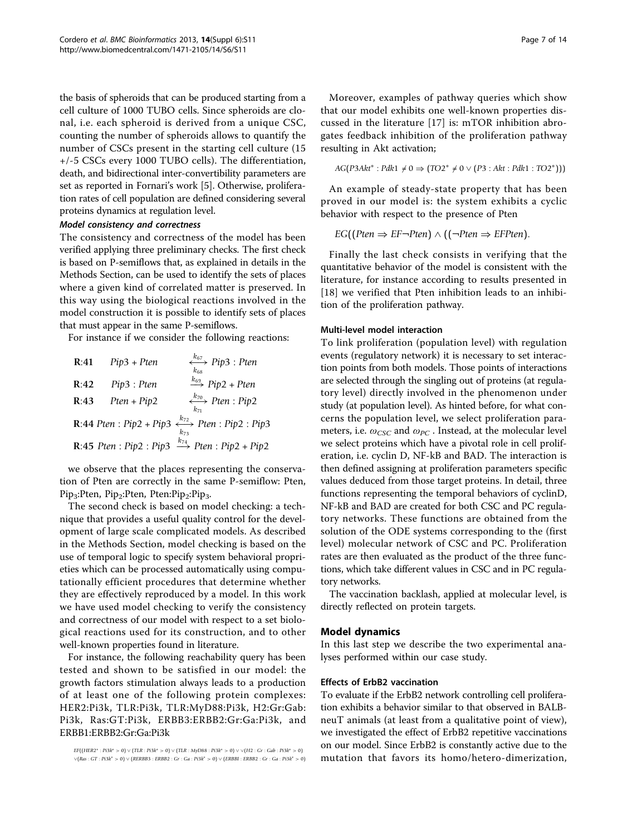the basis of spheroids that can be produced starting from a cell culture of 1000 TUBO cells. Since spheroids are clonal, i.e. each spheroid is derived from a unique CSC, counting the number of spheroids allows to quantify the number of CSCs present in the starting cell culture (15 +/-5 CSCs every 1000 TUBO cells). The differentiation, death, and bidirectional inter-convertibility parameters are set as reported in Fornari's work [[5\]](#page-13-0). Otherwise, proliferation rates of cell population are defined considering several proteins dynamics at regulation level.

#### Model consistency and correctness

The consistency and correctness of the model has been verified applying three preliminary checks. The first check is based on P-semiflows that, as explained in details in the Methods Section, can be used to identify the sets of places where a given kind of correlated matter is preserved. In this way using the biological reactions involved in the model construction it is possible to identify sets of places that must appear in the same P-semiflows.

For instance if we consider the following reactions:

| R:41 | $Pip3 + Pten$ | $\xleftrightarrow{R_{67}}$ Pip3 : Pten<br>$k_{68}$                    |
|------|---------------|-----------------------------------------------------------------------|
| R:42 | $Pip3$ : Pten | $\xrightarrow{k_{69}}$ Pip2 + Pten                                    |
| R:43 | $Pten + Pip2$ | $\xleftrightarrow{k_{70}}$ Pten : Pip2<br>$k_{\tau}$                  |
|      |               | R:44 Pten : Pip2 + Pip3 $\xleftrightarrow{k_{72}}$ Pten : Pip2 : Pip3 |
|      |               | R:45 Pten : Pip2 : Pip3 $\xrightarrow{k_{74}}$ Pten : Pip2 + Pip2     |

we observe that the places representing the conservation of Pten are correctly in the same P-semiflow: Pten, Pip<sub>3</sub>:Pten, Pip<sub>2</sub>:Pten, Pten:Pip<sub>2</sub>:Pip<sub>3</sub>.

The second check is based on model checking: a technique that provides a useful quality control for the development of large scale complicated models. As described in the Methods Section, model checking is based on the use of temporal logic to specify system behavioral proprieties which can be processed automatically using computationally efficient procedures that determine whether they are effectively reproduced by a model. In this work we have used model checking to verify the consistency and correctness of our model with respect to a set biological reactions used for its construction, and to other well-known properties found in literature.

For instance, the following reachability query has been tested and shown to be satisfied in our model: the growth factors stimulation always leads to a production of at least one of the following protein complexes: HER2:Pi3k, TLR:Pi3k, TLR:MyD88:Pi3k, H2:Gr:Gab: Pi3k, Ras:GT:Pi3k, ERBB3:ERBB2:Gr:Ga:Pi3k, and ERBB1:ERBB2:Gr:Ga:Pi3k

Moreover, examples of pathway queries which show that our model exhibits one well-known properties discussed in the literature [[17\]](#page-13-0) is: mTOR inhibition abrogates feedback inhibition of the proliferation pathway resulting in Akt activation;

$$
AG(P3Akt^*:Pdk1 \neq 0 \Rightarrow (TO2^* \neq 0 \vee (P3:Akt:Pdk1:TO2^*)))
$$

An example of steady-state property that has been proved in our model is: the system exhibits a cyclic behavior with respect to the presence of Pten

$$
EG((Pten \Rightarrow EF \neg Pten) \land ((\neg Pten \Rightarrow EFPten).
$$

Finally the last check consists in verifying that the quantitative behavior of the model is consistent with the literature, for instance according to results presented in [[18](#page-13-0)] we verified that Pten inhibition leads to an inhibition of the proliferation pathway.

#### Multi-level model interaction

To link proliferation (population level) with regulation events (regulatory network) it is necessary to set interaction points from both models. Those points of interactions are selected through the singling out of proteins (at regulatory level) directly involved in the phenomenon under study (at population level). As hinted before, for what concerns the population level, we select proliferation parameters, i.e.  $\omega_{CSC}$  and  $\omega_{PC}$ . Instead, at the molecular level we select proteins which have a pivotal role in cell proliferation, i.e. cyclin D, NF-kB and BAD. The interaction is then defined assigning at proliferation parameters specific values deduced from those target proteins. In detail, three functions representing the temporal behaviors of cyclinD, NF-kB and BAD are created for both CSC and PC regulatory networks. These functions are obtained from the solution of the ODE systems corresponding to the (first level) molecular network of CSC and PC. Proliferation rates are then evaluated as the product of the three functions, which take different values in CSC and in PC regulatory networks.

The vaccination backlash, applied at molecular level, is directly reflected on protein targets.

## Model dynamics

In this last step we describe the two experimental analyses performed within our case study.

#### Effects of ErbB2 vaccination

To evaluate if the ErbB2 network controlling cell proliferation exhibits a behavior similar to that observed in BALBneuT animals (at least from a qualitative point of view), we investigated the effect of ErbB2 repetitive vaccinations on our model. Since ErbB2 is constantly active due to the mutation that favors its homo/hetero-dimerization,

*EF*((*HER*2<sup>∗</sup> : *Pi*3*k*<sup>∗</sup> > 0) ∨ (*TLR* : *Pi*3*k*<sup>∗</sup> > 0) ∨ (*TLR* : *MyD*88 : *Pi*3*k*<sup>∗</sup> > 0) ∨ ∨(*H*2 : *Gr* : *Gab* : *Pi*3*k*<sup>∗</sup> > 0) ∨(*Ras* : *GT* : *Pi*3*k*<sup>∗</sup> > 0) ∨ (*RERBB*3 : *ERBB*2 : *Gr* : *Ga* : *Pi*3*k*<sup>∗</sup> > 0) ∨ (*ERBBI* : *ERBB*2 : *Gr* : *Ga* : *Pi*3*k*<sup>∗</sup> > 0)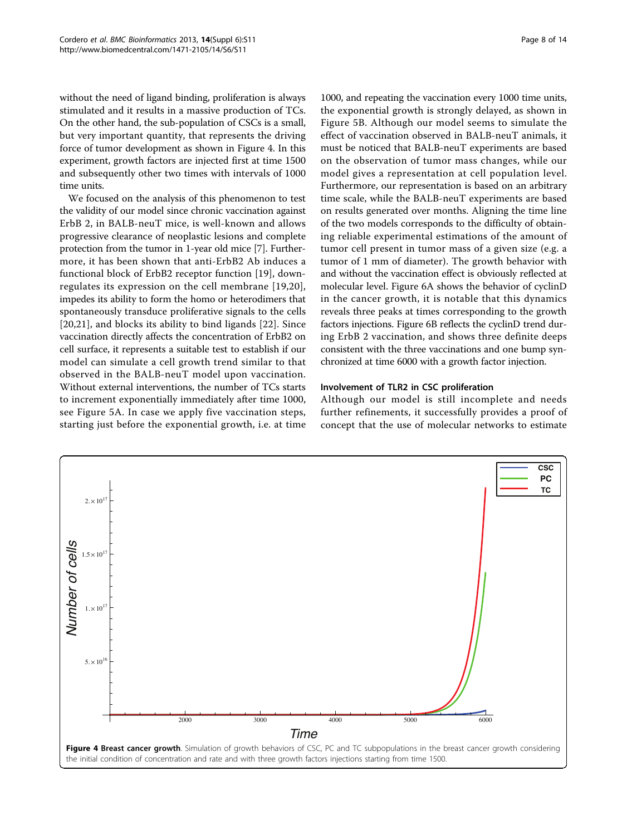without the need of ligand binding, proliferation is always stimulated and it results in a massive production of TCs. On the other hand, the sub-population of CSCs is a small, but very important quantity, that represents the driving force of tumor development as shown in Figure 4. In this experiment, growth factors are injected first at time 1500 and subsequently other two times with intervals of 1000 time units.

We focused on the analysis of this phenomenon to test the validity of our model since chronic vaccination against ErbB 2, in BALB-neuT mice, is well-known and allows progressive clearance of neoplastic lesions and complete protection from the tumor in 1-year old mice [\[7](#page-13-0)]. Furthermore, it has been shown that anti-ErbB2 Ab induces a functional block of ErbB2 receptor function [[19\]](#page-13-0), downregulates its expression on the cell membrane [[19](#page-13-0),[20\]](#page-13-0), impedes its ability to form the homo or heterodimers that spontaneously transduce proliferative signals to the cells [[20,21](#page-13-0)], and blocks its ability to bind ligands [[22\]](#page-13-0). Since vaccination directly affects the concentration of ErbB2 on cell surface, it represents a suitable test to establish if our model can simulate a cell growth trend similar to that observed in the BALB-neuT model upon vaccination. Without external interventions, the number of TCs starts to increment exponentially immediately after time 1000, see Figure [5A.](#page-8-0) In case we apply five vaccination steps, starting just before the exponential growth, i.e. at time

1000, and repeating the vaccination every 1000 time units, the exponential growth is strongly delayed, as shown in Figure [5B.](#page-8-0) Although our model seems to simulate the effect of vaccination observed in BALB-neuT animals, it must be noticed that BALB-neuT experiments are based on the observation of tumor mass changes, while our model gives a representation at cell population level. Furthermore, our representation is based on an arbitrary time scale, while the BALB-neuT experiments are based on results generated over months. Aligning the time line of the two models corresponds to the difficulty of obtaining reliable experimental estimations of the amount of tumor cell present in tumor mass of a given size (e.g. a tumor of 1 mm of diameter). The growth behavior with and without the vaccination effect is obviously reflected at molecular level. Figure [6A](#page-8-0) shows the behavior of cyclinD in the cancer growth, it is notable that this dynamics reveals three peaks at times corresponding to the growth factors injections. Figure [6B](#page-8-0) reflects the cyclinD trend during ErbB 2 vaccination, and shows three definite deeps consistent with the three vaccinations and one bump synchronized at time 6000 with a growth factor injection.

#### Involvement of TLR2 in CSC proliferation

Although our model is still incomplete and needs further refinements, it successfully provides a proof of concept that the use of molecular networks to estimate

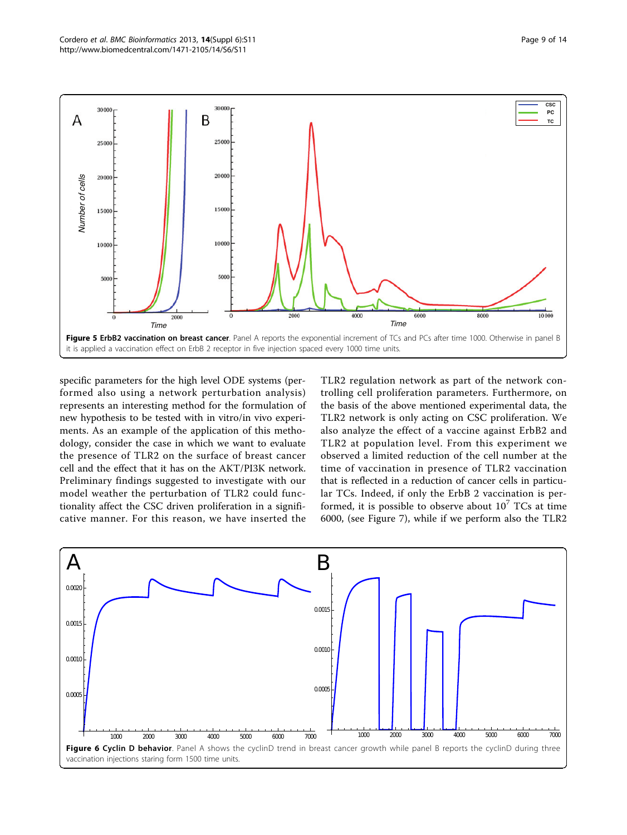<span id="page-8-0"></span>

specific parameters for the high level ODE systems (performed also using a network perturbation analysis) represents an interesting method for the formulation of new hypothesis to be tested with in vitro/in vivo experiments. As an example of the application of this methodology, consider the case in which we want to evaluate the presence of TLR2 on the surface of breast cancer cell and the effect that it has on the AKT/PI3K network. Preliminary findings suggested to investigate with our model weather the perturbation of TLR2 could functionality affect the CSC driven proliferation in a significative manner. For this reason, we have inserted the

TLR2 regulation network as part of the network controlling cell proliferation parameters. Furthermore, on the basis of the above mentioned experimental data, the TLR2 network is only acting on CSC proliferation. We also analyze the effect of a vaccine against ErbB2 and TLR2 at population level. From this experiment we observed a limited reduction of the cell number at the time of vaccination in presence of TLR2 vaccination that is reflected in a reduction of cancer cells in particular TCs. Indeed, if only the ErbB 2 vaccination is performed, it is possible to observe about  $10<sup>7</sup>$  TCs at time 6000, (see Figure [7](#page-9-0)), while if we perform also the TLR2

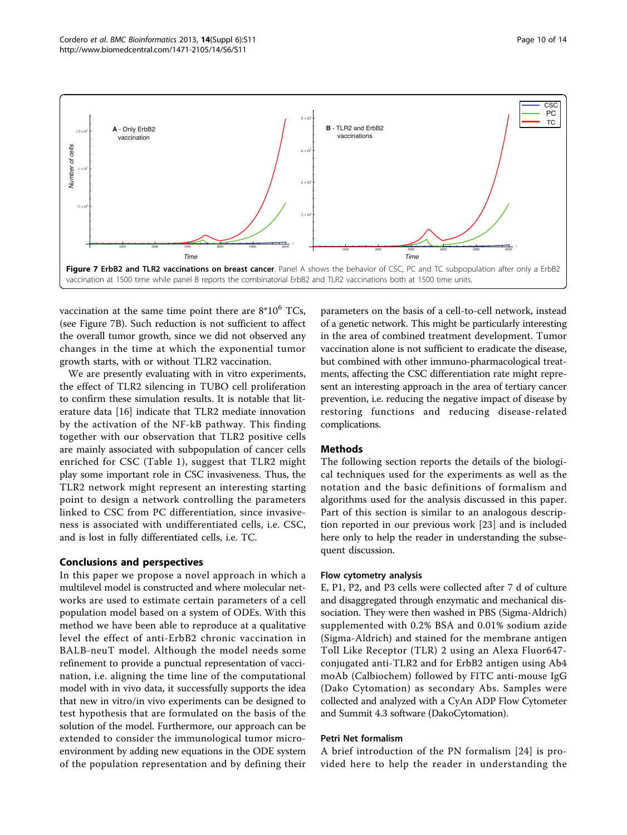<span id="page-9-0"></span>

vaccination at the same time point there are  $8*10^6$  TCs, (see Figure 7B). Such reduction is not sufficient to affect the overall tumor growth, since we did not observed any changes in the time at which the exponential tumor growth starts, with or without TLR2 vaccination.

We are presently evaluating with in vitro experiments, the effect of TLR2 silencing in TUBO cell proliferation to confirm these simulation results. It is notable that literature data [[16\]](#page-13-0) indicate that TLR2 mediate innovation by the activation of the NF-kB pathway. This finding together with our observation that TLR2 positive cells are mainly associated with subpopulation of cancer cells enriched for CSC (Table [1\)](#page-5-0), suggest that TLR2 might play some important role in CSC invasiveness. Thus, the TLR2 network might represent an interesting starting point to design a network controlling the parameters linked to CSC from PC differentiation, since invasiveness is associated with undifferentiated cells, i.e. CSC, and is lost in fully differentiated cells, i.e. TC.

## Conclusions and perspectives

In this paper we propose a novel approach in which a multilevel model is constructed and where molecular networks are used to estimate certain parameters of a cell population model based on a system of ODEs. With this method we have been able to reproduce at a qualitative level the effect of anti-ErbB2 chronic vaccination in BALB-neuT model. Although the model needs some refinement to provide a punctual representation of vaccination, i.e. aligning the time line of the computational model with in vivo data, it successfully supports the idea that new in vitro/in vivo experiments can be designed to test hypothesis that are formulated on the basis of the solution of the model. Furthermore, our approach can be extended to consider the immunological tumor microenvironment by adding new equations in the ODE system of the population representation and by defining their parameters on the basis of a cell-to-cell network, instead of a genetic network. This might be particularly interesting in the area of combined treatment development. Tumor vaccination alone is not sufficient to eradicate the disease, but combined with other immuno-pharmacological treatments, affecting the CSC differentiation rate might represent an interesting approach in the area of tertiary cancer prevention, i.e. reducing the negative impact of disease by restoring functions and reducing disease-related complications.

## Methods

The following section reports the details of the biological techniques used for the experiments as well as the notation and the basic definitions of formalism and algorithms used for the analysis discussed in this paper. Part of this section is similar to an analogous description reported in our previous work [\[23](#page-13-0)] and is included here only to help the reader in understanding the subsequent discussion.

## Flow cytometry analysis

E, P1, P2, and P3 cells were collected after 7 d of culture and disaggregated through enzymatic and mechanical dissociation. They were then washed in PBS (Sigma-Aldrich) supplemented with 0.2% BSA and 0.01% sodium azide (Sigma-Aldrich) and stained for the membrane antigen Toll Like Receptor (TLR) 2 using an Alexa Fluor647 conjugated anti-TLR2 and for ErbB2 antigen using Ab4 moAb (Calbiochem) followed by FITC anti-mouse IgG (Dako Cytomation) as secondary Abs. Samples were collected and analyzed with a CyAn ADP Flow Cytometer and Summit 4.3 software (DakoCytomation).

## Petri Net formalism

A brief introduction of the PN formalism [[24\]](#page-13-0) is provided here to help the reader in understanding the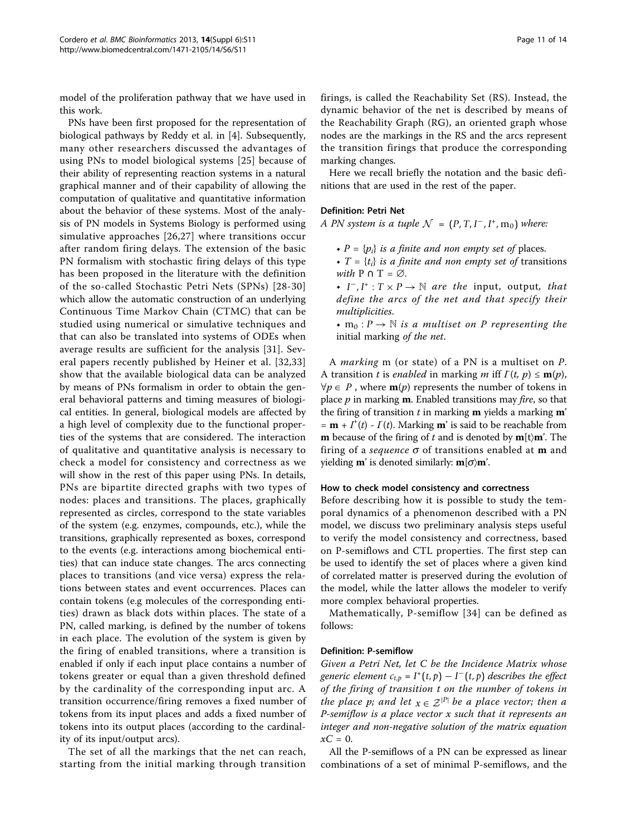model of the proliferation pathway that we have used in this work.

PNs have been first proposed for the representation of biological pathways by Reddy et al. in [\[4](#page-13-0)]. Subsequently, many other researchers discussed the advantages of using PNs to model biological systems [[25](#page-13-0)] because of their ability of representing reaction systems in a natural graphical manner and of their capability of allowing the computation of qualitative and quantitative information about the behavior of these systems. Most of the analysis of PN models in Systems Biology is performed using simulative approaches [[26,27\]](#page-13-0) where transitions occur after random firing delays. The extension of the basic PN formalism with stochastic firing delays of this type has been proposed in the literature with the definition of the so-called Stochastic Petri Nets (SPNs) [[28](#page-13-0)-[30](#page-13-0)] which allow the automatic construction of an underlying Continuous Time Markov Chain (CTMC) that can be studied using numerical or simulative techniques and that can also be translated into systems of ODEs when average results are sufficient for the analysis [\[31\]](#page-13-0). Several papers recently published by Heiner et al. [[32,33](#page-13-0)] show that the available biological data can be analyzed by means of PNs formalism in order to obtain the general behavioral patterns and timing measures of biological entities. In general, biological models are affected by a high level of complexity due to the functional properties of the systems that are considered. The interaction of qualitative and quantitative analysis is necessary to check a model for consistency and correctness as we will show in the rest of this paper using PNs. In details, PNs are bipartite directed graphs with two types of nodes: places and transitions. The places, graphically represented as circles, correspond to the state variables of the system (e.g. enzymes, compounds, etc.), while the transitions, graphically represented as boxes, correspond to the events (e.g. interactions among biochemical entities) that can induce state changes. The arcs connecting places to transitions (and vice versa) express the relations between states and event occurrences. Places can contain tokens (e.g molecules of the corresponding entities) drawn as black dots within places. The state of a PN, called marking, is defined by the number of tokens in each place. The evolution of the system is given by the firing of enabled transitions, where a transition is enabled if only if each input place contains a number of tokens greater or equal than a given threshold defined by the cardinality of the corresponding input arc. A transition occurrence/firing removes a fixed number of tokens from its input places and adds a fixed number of tokens into its output places (according to the cardinality of its input/output arcs).

The set of all the markings that the net can reach, starting from the initial marking through transition firings, is called the Reachability Set (RS). Instead, the dynamic behavior of the net is described by means of the Reachability Graph (RG), an oriented graph whose nodes are the markings in the RS and the arcs represent the transition firings that produce the corresponding marking changes.

Here we recall briefly the notation and the basic definitions that are used in the rest of the paper.

## Definition: Petri Net

A PN system is a tuple  $\mathcal{N} = (P, T, I^-, I^+, m_0)$  where:

- $P = \{p_i\}$  is a finite and non empty set of places.
- $T = \{t_i\}$  is a finite and non empty set of transitions with  $P \cap T = \emptyset$ .
- $I^-, I^*: T \times P \to \mathbb{N}$  are the input, output, that define the arcs of the net and that specify their multiplicities.
- $m_0$ :  $P \rightarrow \mathbb{N}$  is a multiset on P representing the initial marking of the net.

A marking m (or state) of a PN is a multiset on P. A transition *t* is enabled in marking *m* iff  $\Gamma(t, p) \le m(p)$ ,  $\forall p \in P$ , where **m**(*p*) represents the number of tokens in place  $p$  in marking **m**. Enabled transitions may *fire*, so that the firing of transition  $t$  in marking **m** yields a marking **m**'  $=$  **m** +  $I^+(t)$  -  $I(t)$ . Marking **m**' is said to be reachable from **m** because of the firing of t and is denoted by  $m[t/m']$ . The firing of a *sequence*  $\sigma$  of transitions enabled at **m** and yielding **m**' is denoted similarly: **m**[ $\sigma$ )**m'**.

#### How to check model consistency and correctness

Before describing how it is possible to study the temporal dynamics of a phenomenon described with a PN model, we discuss two preliminary analysis steps useful to verify the model consistency and correctness, based on P-semiflows and CTL properties. The first step can be used to identify the set of places where a given kind of correlated matter is preserved during the evolution of the model, while the latter allows the modeler to verify more complex behavioral properties.

Mathematically, P-semiflow [[34\]](#page-13-0) can be defined as follows:

## Definition: P-semiflow

Given a Petri Net, let C be the Incidence Matrix whose generic element  $c_{t,p} = I^+(t,p) - I^-(t,p)$  describes the effect of the firing of transition t on the number of tokens in the place p; and let  $x \in \mathcal{Z}^{|P|}$  be a place vector; then a P-semiflow is a place vector  $x$  such that it represents an integer and non-negative solution of the matrix equation  $xC = 0$ .

All the P-semiflows of a PN can be expressed as linear combinations of a set of minimal P-semiflows, and the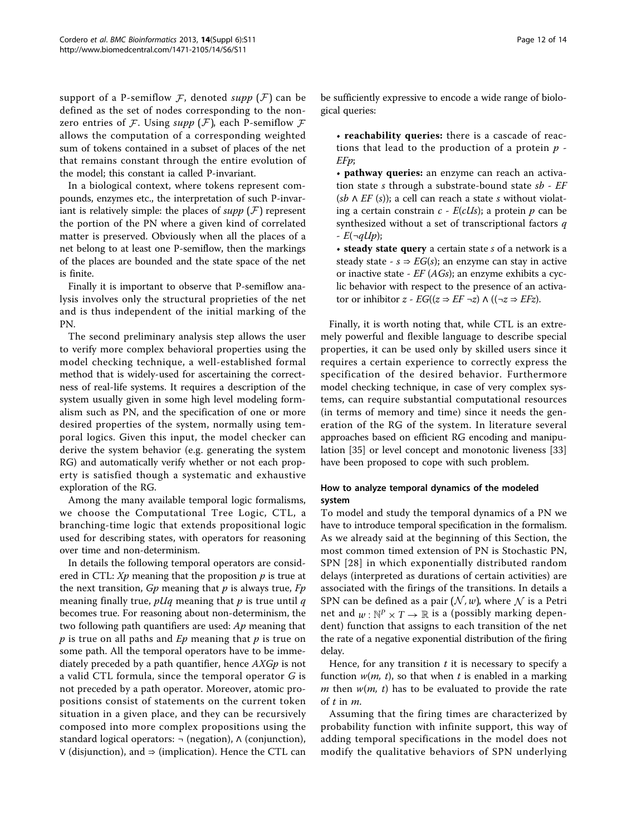support of a P-semiflow  $F$ , denoted supp  $(F)$  can be defined as the set of nodes corresponding to the nonzero entries of  $F$ . Using  $supp(F)$ , each P-semiflow  $F$ allows the computation of a corresponding weighted sum of tokens contained in a subset of places of the net that remains constant through the entire evolution of the model; this constant ia called P-invariant.

In a biological context, where tokens represent compounds, enzymes etc., the interpretation of such P-invariant is relatively simple: the places of  $supp$  ( $F$ ) represent the portion of the PN where a given kind of correlated matter is preserved. Obviously when all the places of a net belong to at least one P-semiflow, then the markings of the places are bounded and the state space of the net is finite.

Finally it is important to observe that P-semiflow analysis involves only the structural proprieties of the net and is thus independent of the initial marking of the PN.

The second preliminary analysis step allows the user to verify more complex behavioral properties using the model checking technique, a well-established formal method that is widely-used for ascertaining the correctness of real-life systems. It requires a description of the system usually given in some high level modeling formalism such as PN, and the specification of one or more desired properties of the system, normally using temporal logics. Given this input, the model checker can derive the system behavior (e.g. generating the system RG) and automatically verify whether or not each property is satisfied though a systematic and exhaustive exploration of the RG.

Among the many available temporal logic formalisms, we choose the Computational Tree Logic, CTL, a branching-time logic that extends propositional logic used for describing states, with operators for reasoning over time and non-determinism.

In details the following temporal operators are considered in CTL:  $Xp$  meaning that the proposition  $p$  is true at the next transition,  $G_p$  meaning that  $p$  is always true,  $F_p$ meaning finally true,  $pUq$  meaning that p is true until q becomes true. For reasoning about non-determinism, the two following path quantifiers are used:  $Ap$  meaning that  $p$  is true on all paths and  $Ep$  meaning that  $p$  is true on some path. All the temporal operators have to be immediately preceded by a path quantifier, hence  $AXGp$  is not a valid CTL formula, since the temporal operator G is not preceded by a path operator. Moreover, atomic propositions consist of statements on the current token situation in a given place, and they can be recursively composed into more complex propositions using the standard logical operators:  $\neg$  (negation),  $\wedge$  (conjunction), ∨ (disjunction), and ⇒ (implication). Hence the CTL can be sufficiently expressive to encode a wide range of biological queries:

• reachability queries: there is a cascade of reactions that lead to the production of a protein  $p$  -EFp;

• pathway queries: an enzyme can reach an activation state s through a substrate-bound state  $sb$  -  $EF$  $(sb \wedge EF(s))$ ; a cell can reach a state s without violating a certain constrain  $c$  -  $E(cls)$ ; a protein  $p$  can be synthesized without a set of transcriptional factors  $q$  $-E(\neg qUp);$ 

• steady state query a certain state s of a network is a steady state -  $s \Rightarrow EG(s)$ ; an enzyme can stay in active or inactive state -  $EF(AGs)$ ; an enzyme exhibits a cyclic behavior with respect to the presence of an activator or inhibitor  $z$  -  $EG((z \Rightarrow EF \neg z) \land ((\neg z \Rightarrow EFz)).$ 

Finally, it is worth noting that, while CTL is an extremely powerful and flexible language to describe special properties, it can be used only by skilled users since it requires a certain experience to correctly express the specification of the desired behavior. Furthermore model checking technique, in case of very complex systems, can require substantial computational resources (in terms of memory and time) since it needs the generation of the RG of the system. In literature several approaches based on efficient RG encoding and manipulation [[35\]](#page-13-0) or level concept and monotonic liveness [[33](#page-13-0)] have been proposed to cope with such problem.

## How to analyze temporal dynamics of the modeled system

To model and study the temporal dynamics of a PN we have to introduce temporal specification in the formalism. As we already said at the beginning of this Section, the most common timed extension of PN is Stochastic PN, SPN [[28](#page-13-0)] in which exponentially distributed random delays (interpreted as durations of certain activities) are associated with the firings of the transitions. In details a SPN can be defined as a pair  $(N, w)$ , where N is a Petri net and  $w : \mathbb{N}^P \times T \to \mathbb{R}$  is a (possibly marking dependent) function that assigns to each transition of the net the rate of a negative exponential distribution of the firing delay.

Hence, for any transition  $t$  it is necessary to specify a function  $w(m, t)$ , so that when t is enabled in a marking *m* then  $w(m, t)$  has to be evaluated to provide the rate of t in  $m$ .

Assuming that the firing times are characterized by probability function with infinite support, this way of adding temporal specifications in the model does not modify the qualitative behaviors of SPN underlying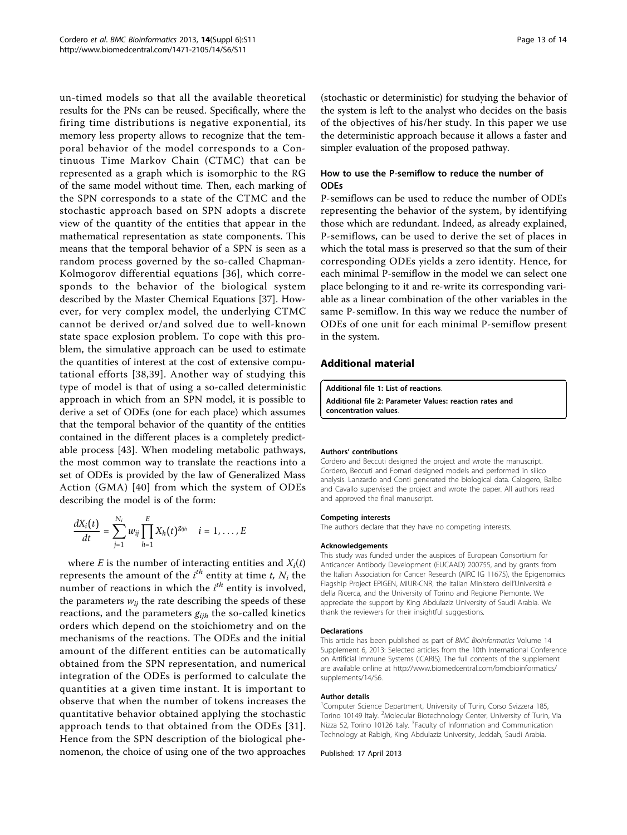<span id="page-12-0"></span>un-timed models so that all the available theoretical results for the PNs can be reused. Specifically, where the firing time distributions is negative exponential, its memory less property allows to recognize that the temporal behavior of the model corresponds to a Continuous Time Markov Chain (CTMC) that can be represented as a graph which is isomorphic to the RG of the same model without time. Then, each marking of the SPN corresponds to a state of the CTMC and the stochastic approach based on SPN adopts a discrete view of the quantity of the entities that appear in the mathematical representation as state components. This means that the temporal behavior of a SPN is seen as a random process governed by the so-called Chapman-Kolmogorov differential equations [[36](#page-13-0)], which corresponds to the behavior of the biological system described by the Master Chemical Equations [[37\]](#page-13-0). However, for very complex model, the underlying CTMC cannot be derived or/and solved due to well-known state space explosion problem. To cope with this problem, the simulative approach can be used to estimate the quantities of interest at the cost of extensive computational efforts [[38](#page-13-0),[39](#page-13-0)]. Another way of studying this type of model is that of using a so-called deterministic approach in which from an SPN model, it is possible to derive a set of ODEs (one for each place) which assumes that the temporal behavior of the quantity of the entities contained in the different places is a completely predictable process [43]. When modeling metabolic pathways, the most common way to translate the reactions into a set of ODEs is provided by the law of Generalized Mass Action (GMA) [[40](#page-13-0)] from which the system of ODEs describing the model is of the form:

$$
\frac{dX_i(t)}{dt} = \sum_{j=1}^{N_i} w_{ij} \prod_{h=1}^{E} X_h(t)^{g_{ijh}} \quad i = 1, ..., E
$$

where  $E$  is the number of interacting entities and  $X_i(t)$ represents the amount of the  $i^{th}$  entity at time  $t$ ,  $N_i$  the number of reactions in which the  $i^{th}$  entity is involved, the parameters  $w_{ij}$  the rate describing the speeds of these reactions, and the parameters  $g_{ijh}$  the so-called kinetics orders which depend on the stoichiometry and on the mechanisms of the reactions. The ODEs and the initial amount of the different entities can be automatically obtained from the SPN representation, and numerical integration of the ODEs is performed to calculate the quantities at a given time instant. It is important to observe that when the number of tokens increases the quantitative behavior obtained applying the stochastic approach tends to that obtained from the ODEs [\[31\]](#page-13-0). Hence from the SPN description of the biological phenomenon, the choice of using one of the two approaches

(stochastic or deterministic) for studying the behavior of the system is left to the analyst who decides on the basis of the objectives of his/her study. In this paper we use the deterministic approach because it allows a faster and simpler evaluation of the proposed pathway.

## How to use the P-semiflow to reduce the number of ODEs

P-semiflows can be used to reduce the number of ODEs representing the behavior of the system, by identifying those which are redundant. Indeed, as already explained, P-semiflows, can be used to derive the set of places in which the total mass is preserved so that the sum of their corresponding ODEs yields a zero identity. Hence, for each minimal P-semiflow in the model we can select one place belonging to it and re-write its corresponding variable as a linear combination of the other variables in the same P-semiflow. In this way we reduce the number of ODEs of one unit for each minimal P-semiflow present in the system.

## Additional material

[Additional file 1: L](http://www.biomedcentral.com/content/supplementary/1471-2105-14-S6-S11-S1.pdf)ist of reactions.

[Additional file 2: P](http://www.biomedcentral.com/content/supplementary/1471-2105-14-S6-S11-S2.pdf)arameter Values: reaction rates and concentration values.

#### Authors' contributions

Cordero and Beccuti designed the project and wrote the manuscript. Cordero, Beccuti and Fornari designed models and performed in silico analysis. Lanzardo and Conti generated the biological data. Calogero, Balbo and Cavallo supervised the project and wrote the paper. All authors read and approved the final manuscript.

#### Competing interests

The authors declare that they have no competing interests.

#### Acknowledgements

This study was funded under the auspices of European Consortium for Anticancer Antibody Development (EUCAAD) 200755, and by grants from the Italian Association for Cancer Research (AIRC IG 11675), the Epigenomics Flagship Project EPIGEN, MIUR-CNR, the Italian Ministero dell'Università e della Ricerca, and the University of Torino and Regione Piemonte. We appreciate the support by King Abdulaziz University of Saudi Arabia. We thank the reviewers for their insightful suggestions.

#### Declarations

This article has been published as part of BMC Bioinformatics Volume 14 Supplement 6, 2013: Selected articles from the 10th International Conference on Artificial Immune Systems (ICARIS). The full contents of the supplement are available online at [http://www.biomedcentral.com/bmcbioinformatics/](http://www.biomedcentral.com/bmcbioinformatics/supplements/14/S6) [supplements/14/S6.](http://www.biomedcentral.com/bmcbioinformatics/supplements/14/S6)

#### Author details

<sup>1</sup> Computer Science Department, University of Turin, Corso Svizzera 185, Torino 10149 Italy. <sup>2</sup>Molecular Biotechnology Center, University of Turin, Via Nizza 52, Torino 10126 Italy. <sup>3</sup> Faculty of Information and Communication Technology at Rabigh, King Abdulaziz University, Jeddah, Saudi Arabia.

Published: 17 April 2013